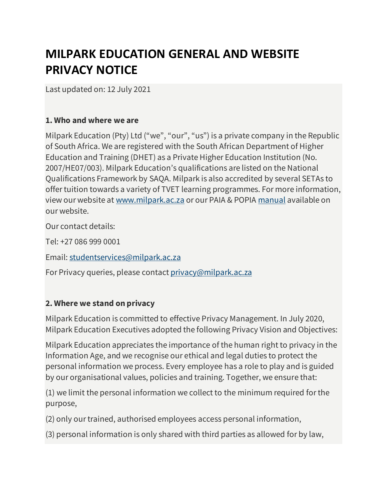# **MILPARK EDUCATION GENERAL AND WEBSITE PRIVACY NOTICE**

Last updated on: 12 July 2021

#### **1. Who and where we are**

Milpark Education (Pty) Ltd ("we", "our", "us") is a private company in the Republic of South Africa. We are registered with the South African Department of Higher Education and Training (DHET) as a Private Higher Education Institution (No. 2007/HE07/003). Milpark Education's qualifications are listed on the National Qualifications Framework by SAQA. Milpark is also accredited by several SETAs to offer tuition towards a variety of TVET learning programmes. For more information, view our website at www.milpark.ac.za or our PAIA & POPIA manual available on our website.

Our contact details:

Tel: +27 086 999 0001

Email: [studentservices@milpark.ac.za](http://studentservices@milpark.ac.za/)

For Privacy queries, please contact [privacy@milpark.ac.za](http://privacy@milpark.ac.za/)

#### **2. Where we stand on privacy**

Milpark Education is committed to effective Privacy Management. In July 2020, Milpark Education Executives adopted the following Privacy Vision and Objectives:

Milpark Education appreciates the importance of the human right to privacy in the Information Age, and we recognise our ethical and legal duties to protect the personal information we process. Every employee has a role to play and is guided by our organisational values, policies and training. Together, we ensure that:

(1) we limit the personal information we collect to the minimum required for the purpose,

(2) only our trained, authorised employees access personal information,

(3) personal information is only shared with third parties as allowed for by law,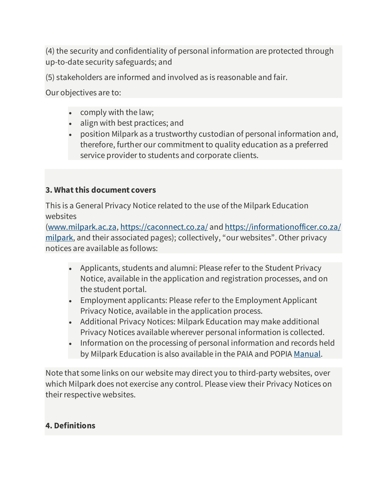(4) the security and confidentiality of personal information are protected through up-to-date security safeguards; and

(5) stakeholders are informed and involved as is reasonable and fair.

Our objectives are to:

- comply with the law;
- align with best practices; and
- position Milpark as a trustworthy custodian of personal information and, therefore, further our commitment to quality education as a preferred service provider to students and corporate clients.

## **3. What this document covers**

This is a General Privacy Notice related to the use of the Milpark Education websites

[\(www.milpark.ac.za,](http://www.milpark.ac.za/) <https://caconnect.co.za/> and [https://informationofficer.co.za/](https://informationofficer.co.za/milpark) [milpark,](https://informationofficer.co.za/milpark) and their associated pages); collectively, "our websites". Other privacy notices are available as follows:

- Applicants, students and alumni: Please refer to the Student Privacy Notice, available in the application and registration processes, and on the student portal.
- Employment applicants: Please refer to the Employment Applicant Privacy Notice, available in the application process.
- Additional Privacy Notices: Milpark Education may make additional Privacy Notices available wherever personal information is collected.
- Information on the processing of personal information and records held by Milpark Education is also available in the PAIA and POPIA [Manual.](https://www.milpark.ac.za/documents/10181/0/Milpark+PAIA+and+POPIA+Manual_02.07.21/46d18315-6356-4055-b09a-71cc534c92c1)

Note that some links on our website may direct you to third-party websites, over which Milpark does not exercise any control. Please view their Privacy Notices on their respective websites.

## **4. Definitions**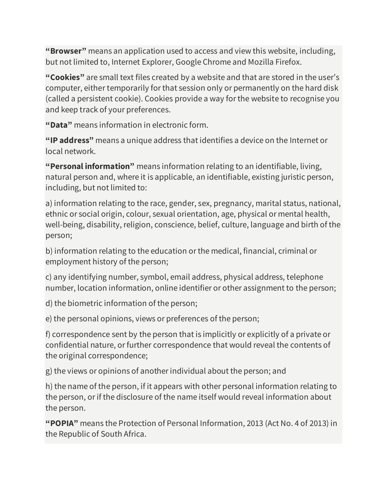**"Browser"** means an application used to access and view this website, including, but not limited to, Internet Explorer, Google Chrome and Mozilla Firefox.

**"Cookies"** are small text files created by a website and that are stored in the user's computer, either temporarily for that session only or permanently on the hard disk (called a persistent cookie). Cookies provide a way for the website to recognise you and keep track of your preferences.

**"Data"** means information in electronic form.

**"IP address"** means a unique address that identifies a device on the Internet or local network.

**"Personal information"** means information relating to an identifiable, living, natural person and, where it is applicable, an identifiable, existing juristic person, including, but not limited to:

a) information relating to the race, gender, sex, pregnancy, marital status, national, ethnic or social origin, colour, sexual orientation, age, physical or mental health, well-being, disability, religion, conscience, belief, culture, language and birth of the person;

b) information relating to the education or the medical, financial, criminal or employment history of the person;

c) any identifying number, symbol, email address, physical address, telephone number, location information, online identifier or other assignment to the person;

d) the biometric information of the person;

e) the personal opinions, views or preferences of the person;

f) correspondence sent by the person that is implicitly or explicitly of a private or confidential nature, or further correspondence that would reveal the contents of the original correspondence;

g) the views or opinions of another individual about the person; and

h) the name of the person, if it appears with other personal information relating to the person, or if the disclosure of the name itself would reveal information about the person.

**"POPIA"** means the Protection of Personal Information, 2013 (Act No. 4 of 2013) in the Republic of South Africa.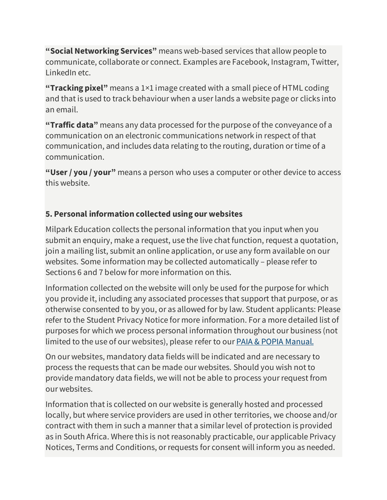**"Social Networking Services"** means web-based services that allow people to communicate, collaborate or connect. Examples are Facebook, Instagram, Twitter, LinkedIn etc.

**"Tracking pixel"** means a 1×1 image created with a small piece of HTML coding and that is used to track behaviour when a user lands a website page or clicks into an email.

**"Traffic data"** means any data processed for the purpose of the conveyance of a communication on an electronic communications network in respect of that communication, and includes data relating to the routing, duration or time of a communication.

**"User / you / your"** means a person who uses a computer or other device to access this website.

## **5. Personal information collected using our websites**

Milpark Education collects the personal information that you input when you submit an enquiry, make a request, use the live chat function, request a quotation, join a mailing list, submit an online application, or use any form available on our websites. Some information may be collected automatically – please refer to Sections 6 and 7 below for more information on this.

Information collected on the website will only be used for the purpose for which you provide it, including any associated processes that support that purpose, or as otherwise consented to by you, or as allowed for by law. Student applicants: Please refer to the Student Privacy Notice for more information. For a more detailed list of purposes for which we process personal information throughout our business (not limited to the use of our websites), please refer to our [PAIA & POPIA Manual.](https://www.milpark.ac.za/documents/10181/0/Milpark+PAIA+and+POPIA+Manual_02.07.21/46d18315-6356-4055-b09a-71cc534c92c1)

On our websites, mandatory data fields will be indicated and are necessary to process the requests that can be made our websites. Should you wish not to provide mandatory data fields, we will not be able to process your request from our websites.

Information that is collected on our website is generally hosted and processed locally, but where service providers are used in other territories, we choose and/or contract with them in such a manner that a similar level of protection is provided as in South Africa. Where this is not reasonably practicable, our applicable Privacy Notices, Terms and Conditions, or requests for consent will inform you as needed.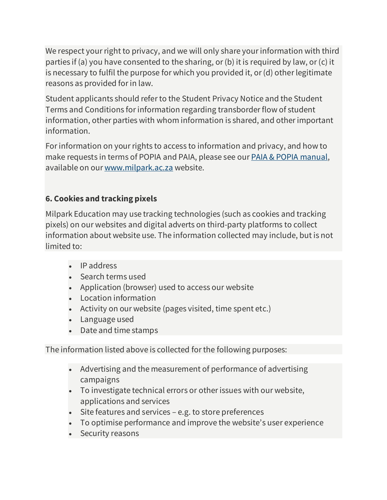We respect your right to privacy, and we will only share your information with third parties if (a) you have consented to the sharing, or (b) it is required by law, or (c) it is necessary to fulfil the purpose for which you provided it, or (d) other legitimate reasons as provided for in law.

Student applicants should refer to the Student Privacy Notice and the Student Terms and Conditions for information regarding transborder flow of student information, other parties with whom information is shared, and other important information.

For information on your rights to access to information and privacy, and how to make requests in terms of POPIA and PAIA, please see our [PAIA & POPIA manual,](https://www.milpark.ac.za/documents/10181/0/Milpark+PAIA+and+POPIA+Manual_02.07.21/46d18315-6356-4055-b09a-71cc534c92c1) available on our [www.milpark.ac.za](http://www.milpark.ac.za/) website.

# **6. Cookies and tracking pixels**

Milpark Education may use tracking technologies (such as cookies and tracking pixels) on our websites and digital adverts on third-party platforms to collect information about website use. The information collected may include, but is not limited to:

- IP address
- Search terms used
- Application (browser) used to access our website
- Location information
- Activity on our website (pages visited, time spent etc.)
- Language used
- Date and time stamps

The information listed above is collected forthe following purposes:

- Advertising and the measurement of performance of advertising campaigns
- To investigate technical errors or other issues with our website, applications and services
- Site features and services e.g. to store preferences
- To optimise performance and improve the website's user experience
- Security reasons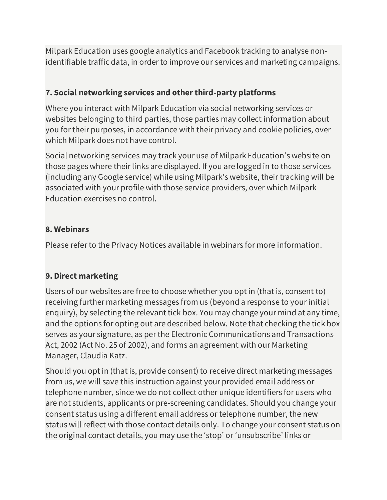Milpark Education uses google analytics and Facebook tracking to analyse nonidentifiable traffic data, in order to improve our services and marketing campaigns.

## **7. Social networking services and other third-party platforms**

Where you interact with Milpark Education via social networking services or websites belonging to third parties, those parties may collect information about you for their purposes, in accordance with their privacy and cookie policies, over which Milpark does not have control.

Social networking services may track your use of Milpark Education's website on those pages where their links are displayed. If you are logged in to those services (including any Google service) while using Milpark's website, their tracking will be associated with your profile with those service providers, over which Milpark Education exercises no control.

## **8. Webinars**

Please refer to the Privacy Notices available in webinars for more information.

## **9. Direct marketing**

Users of our websites are free to choose whether you opt in (that is, consent to) receiving further marketing messages from us (beyond a response to your initial enquiry), by selecting the relevant tick box. You may change your mind at any time, and the options for opting out are described below. Note that checking the tick box serves as your signature, as per the Electronic Communications and Transactions Act, 2002 (Act No. 25 of 2002), and forms an agreement with our Marketing Manager, Claudia Katz.

Should you opt in (that is, provide consent) to receive direct marketing messages from us, we will save this instruction against your provided email address or telephone number, since we do not collect other unique identifiers for users who are not students, applicants or pre-screening candidates. Should you change your consent status using a different email address or telephone number, the new status will reflect with those contact details only. To change your consent status on the original contact details, you may use the 'stop' or 'unsubscribe' links or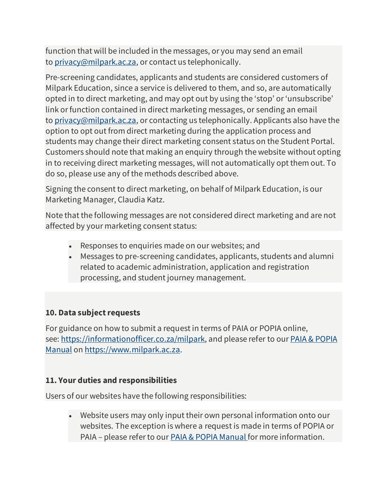function that will be included in the messages, or you may send an email to [privacy@milpark.ac.za,](http://privacy@milpark.ac.za/) or contact us telephonically.

Pre-screening candidates, applicants and students are considered customers of Milpark Education, since a service is delivered to them, and so, are automatically opted in to direct marketing, and may opt out by using the 'stop' or 'unsubscribe' link or function contained in direct marketing messages, or sending an email to [privacy@milpark.ac.za,](http://privacy@milpark.ac.za/) or contacting us telephonically. Applicants also have the option to opt out from direct marketing during the application process and students may change their direct marketing consent status on the Student Portal. Customers should note that making an enquiry through the website without opting in to receiving direct marketing messages, will not automatically opt them out. To do so, please use any of the methods described above.

Signing the consent to direct marketing, on behalf of Milpark Education, is our Marketing Manager, Claudia Katz.

Note that the following messages are not considered direct marketing and are not affected by your marketing consent status:

- Responses to enquiries made on our websites; and
- Messages to pre-screening candidates, applicants, students and alumni related to academic administration, application and registration processing, and student journey management.

#### **10. Data subject requests**

For guidance on how to submit a request in terms of PAIA or POPIA online, see: <https://informationofficer.co.za/milpark,> and please refer to our **PAIA & POPIA** [Manual](https://www.milpark.ac.za/documents/10181/0/Milpark+PAIA+and+POPIA+Manual_02.07.21/46d18315-6356-4055-b09a-71cc534c92c1) on [https://www.milpark.ac.za.](https://www.milpark.ac.za/)

#### **11. Your duties and responsibilities**

Users of our websites have the following responsibilities:

• Website users may only input their own personal information onto our websites. The exception is where a request is made in terms of POPIA or PAIA – please refer to our **[PAIA & POPIA Manual](https://www.milpark.ac.za/documents/10181/0/Milpark+PAIA+and+POPIA+Manual_02.07.21/46d18315-6356-4055-b09a-71cc534c92c1)** for more information.